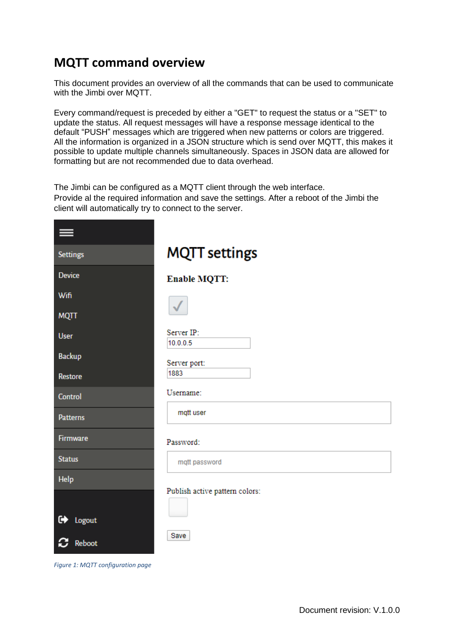## **MQTT command overview**

This document provides an overview of all the commands that can be used to communicate with the Jimbi over MQTT.

Every command/request is preceded by either a "GET" to request the status or a "SET" to update the status. All request messages will have a response message identical to the default "PUSH" messages which are triggered when new patterns or colors are triggered. All the information is organized in a JSON structure which is send over MQTT, this makes it possible to update multiple channels simultaneously. Spaces in JSON data are allowed for formatting but are not recommended due to data overhead.

The Jimbi can be configured as a MQTT client through the web interface. Provide al the required information and save the settings. After a reboot of the Jimbi the client will automatically try to connect to the server.

| <b>Settings</b> | <b>MQTT</b> settings           |
|-----------------|--------------------------------|
| <b>Device</b>   | <b>Enable MQTT:</b>            |
| Wifi            |                                |
| <b>MQTT</b>     |                                |
| <b>User</b>     | Server IP:<br>10.0.0.5         |
| <b>Backup</b>   | Server port:                   |
| Restore         | 1883                           |
| Control         | Username:                      |
| <b>Patterns</b> | mqtt user                      |
| Firmware        | Password:                      |
| <b>Status</b>   | mqtt password                  |
| <b>Help</b>     |                                |
| G Logout        | Publish active pattern colors: |
| Reboot          | Save                           |

<span id="page-0-0"></span>*Figure 1: MQTT configuration page*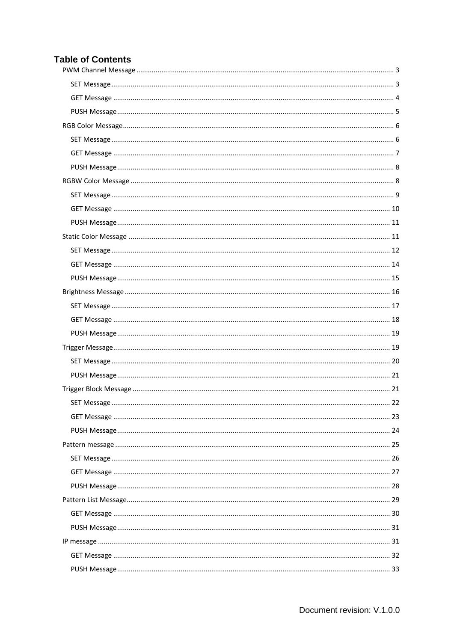### **Table of Contents**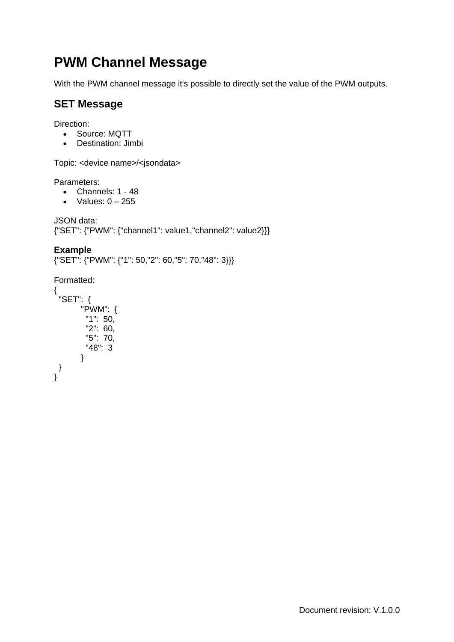# <span id="page-2-0"></span>**PWM Channel Message**

With the PWM channel message it's possible to directly set the value of the PWM outputs.

## <span id="page-2-1"></span>**SET Message**

Direction:

- Source: MQTT
- Destination: Jimbi

Topic: <device name>/<jsondata>

Parameters:

- Channels: 1 48
- Values:  $0 255$

JSON data: {"SET": {"PWM": {"channel1": value1,"channel2": value2}}}

### **Example**

{"SET": {"PWM": {"1": 50,"2": 60,"5": 70,"48": 3}}}

```
{
 "SET": {
       "PWM": {
       "1": 50,
        "2": 60,
        "5": 70,
        "48": 3
      }
}
}
```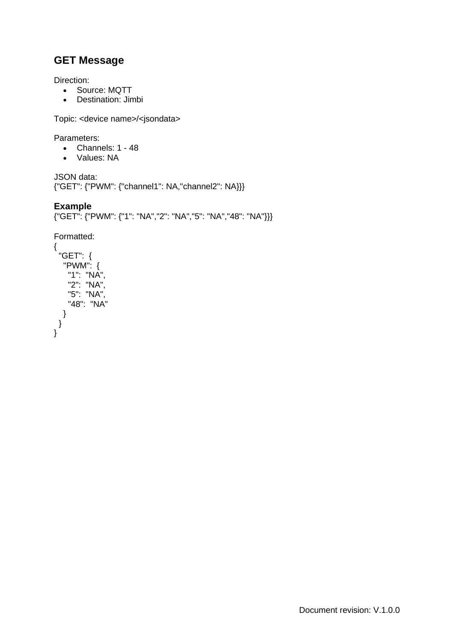<span id="page-3-0"></span>Direction:

- Source: MQTT
- Destination: Jimbi

Topic: <device name>/<jsondata>

Parameters:

- Channels: 1 48
- Values: NA

JSON data: {"GET": {"PWM": {"channel1": NA,"channel2": NA}}}

### **Example**

{"GET": {"PWM": {"1": "NA","2": "NA","5": "NA","48": "NA"}}}

```
{
 "GET": {
  "PWM": {
   "1": "NA",
   "2": "NA",
  "5": "NA",
   "48": "NA"
  }
 }
}
```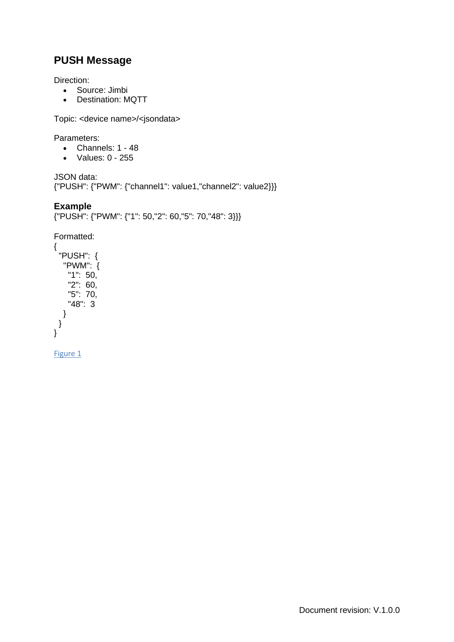<span id="page-4-0"></span>Direction:

- Source: Jimbi
- Destination: MQTT

Topic: <device name>/<jsondata>

Parameters:

- Channels: 1 48
- Values: 0 255

JSON data: {"PUSH": {"PWM": {"channel1": value1,"channel2": value2}}}

### **Example**

{"PUSH": {"PWM": {"1": 50,"2": 60,"5": 70,"48": 3}}}

Formatted: {

```
"PUSH": {
  "PWM": {
   "1": 50,
   "2": 60,
   "5": 70,
   "48": 3
  }
}
}
```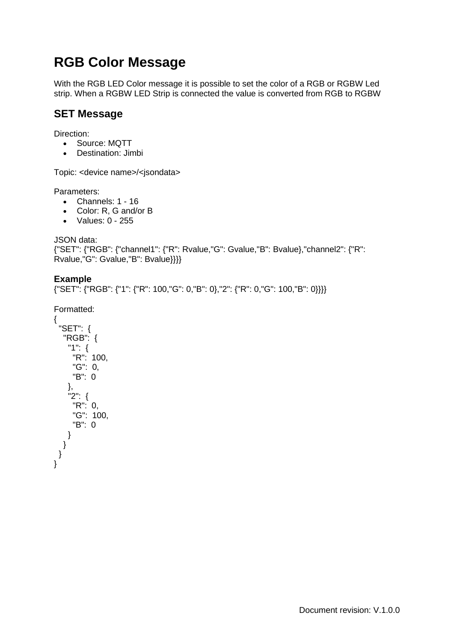# <span id="page-5-0"></span>**RGB Color Message**

With the RGB LED Color message it is possible to set the color of a RGB or RGBW Led strip. When a RGBW LED Strip is connected the value is converted from RGB to RGBW

### <span id="page-5-1"></span>**SET Message**

Direction:

- Source: MQTT
- Destination: Jimbi

Topic: <device name>/<jsondata>

Parameters:

- Channels: 1 16
- Color: R, G and/or B
- Values: 0 255

JSON data:

```
{"SET": {"RGB": {"channel1": {"R": Rvalue,"G": Gvalue,"B": Bvalue},"channel2": {"R": 
Rvalue,"G": Gvalue,"B": Bvalue}}}}
```
### **Example**

{"SET": {"RGB": {"1": {"R": 100,"G": 0,"B": 0},"2": {"R": 0,"G": 100,"B": 0}}}}

```
{
 "SET": {
  "RGB": {
   "1": {
    "R": 100,
     "G": 0,
     "B": 0
   },
   "2": {
     "R": 0,
     "G": 100,
     "B": 0
   }
  }
}
}
```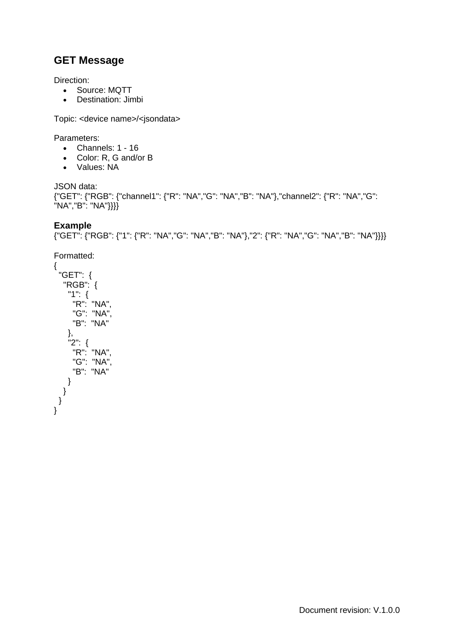<span id="page-6-0"></span>Direction:

- Source: MQTT
- Destination: Jimbi

Topic: <device name>/<jsondata>

Parameters:

- Channels: 1 16
- Color: R, G and/or B
- Values: NA

JSON data: {"GET": {"RGB": {"channel1": {"R": "NA","G": "NA","B": "NA"},"channel2": {"R": "NA","G": "NA","B": "NA"}}}}

### **Example**

```
{"GET": {"RGB": {"1": {"R": "NA","G": "NA","B": "NA"},"2": {"R": "NA","G": "NA","B": "NA"}}}}
```

```
{
 "GET": {
  "RGB": {
   "1": {
    "R": "NA",
    "G": "NA",
    "B": "NA"
   },
   "2": {
     "R": "NA",
     "G": "NA",
    "B": "NA"
   }
 }
 }
}
```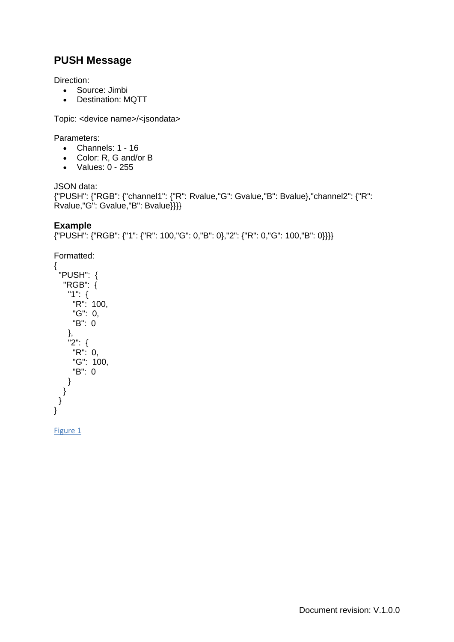<span id="page-7-0"></span>Direction:

- Source: Jimbi
- Destination: MQTT

Topic: <device name>/<jsondata>

Parameters:

- Channels: 1 16
- Color: R, G and/or B
- Values: 0 255

JSON data: {"PUSH": {"RGB": {"channel1": {"R": Rvalue,"G": Gvalue,"B": Bvalue},"channel2": {"R": Rvalue,"G": Gvalue,"B": Bvalue}}}}

### **Example**

{"PUSH": {"RGB": {"1": {"R": 100,"G": 0,"B": 0},"2": {"R": 0,"G": 100,"B": 0}}}}

Formatted:

```
{
 "PUSH": {
  "RGB": {
   "1": {
    R": 100,
    "G": 0,
    "B": 0
   },
   "2": {
    "R": 0,
    "G": 100,
    "B": 0
   }
 }
 }
}
```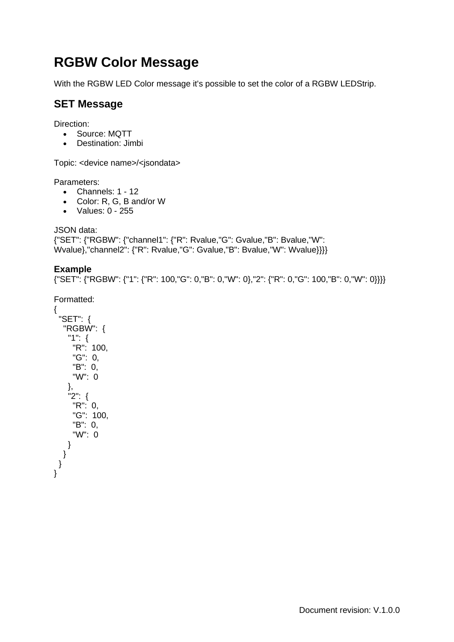# **RGBW Color Message**

With the RGBW LED Color message it's possible to set the color of a RGBW LEDStrip.

## <span id="page-8-0"></span>**SET Message**

Direction:

- Source: MQTT
- Destination: Jimbi

Topic: <device name>/<jsondata>

Parameters:

- Channels: 1 12
- Color: R, G, B and/or W
- Values: 0 255

JSON data:

```
{"SET": {"RGBW": {"channel1": {"R": Rvalue,"G": Gvalue,"B": Bvalue,"W": 
Wvalue},"channel2": {"R": Rvalue,"G": Gvalue,"B": Bvalue,"W": Wvalue}}}}
```
### **Example**

{"SET": {"RGBW": {"1": {"R": 100,"G": 0,"B": 0,"W": 0},"2": {"R": 0,"G": 100,"B": 0,"W": 0}}}}

```
{
 "SET": {
  "RGBW": {
   "1": {
    "R": 100,
    "G": 0,
     "B": 0,
     "W": 0
   },
   "2": {
    "R": 0,
    "G": 100,
    "B": 0,
    "W": 0
   }
  }
}
}
```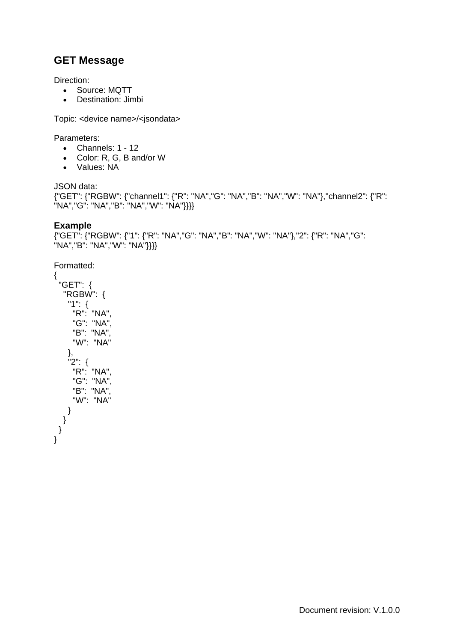<span id="page-9-0"></span>Direction:

- Source: MQTT
- Destination: Jimbi

Topic: <device name>/<jsondata>

Parameters:

- Channels: 1 12
- Color: R, G, B and/or W
- Values: NA

JSON data:

{"GET": {"RGBW": {"channel1": {"R": "NA","G": "NA","B": "NA","W": "NA"},"channel2": {"R": "NA","G": "NA","B": "NA","W": "NA"}}}}

### **Example**

```
{"GET": {"RGBW": {"1": {"R": "NA","G": "NA","B": "NA","W": "NA"},"2": {"R": "NA","G": 
"NA","B": "NA","W": "NA"}}}}
```

```
"GET": {
  "RGBW": {
   "1": {
    "R": "NA",
    "G": "NA",
     "B": "NA",
    "W": "NA"
   },
   "2": {
    "R": "NA",
    "G": "NA",
    "B": "NA",
    "W": "NA"
   }
  }
}
}
```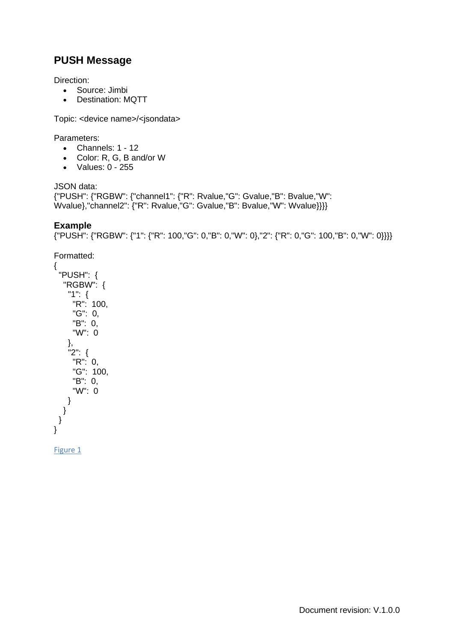<span id="page-10-0"></span>Direction:

- Source: Jimbi
- Destination: MQTT

Topic: <device name>/<jsondata>

Parameters:

- Channels: 1 12
- Color: R, G, B and/or W
- Values: 0 255

JSON data: {"PUSH": {"RGBW": {"channel1": {"R": Rvalue,"G": Gvalue,"B": Bvalue,"W": Wvalue},"channel2": {"R": Rvalue,"G": Gvalue,"B": Bvalue,"W": Wvalue}}}}

### **Example**

{"PUSH": {"RGBW": {"1": {"R": 100,"G": 0,"B": 0,"W": 0},"2": {"R": 0,"G": 100,"B": 0,"W": 0}}}}

Formatted:

```
{
 "PUSH": {
  "RGBW": {
   "1": {
    "R": 100,
    "G": 0,
    "B": 0,
    "W": 0
   },
   "2": {
    "R": 0,
    "G": 100,
    "B": 0,
    "W": 0
   }
 }
 }
}
```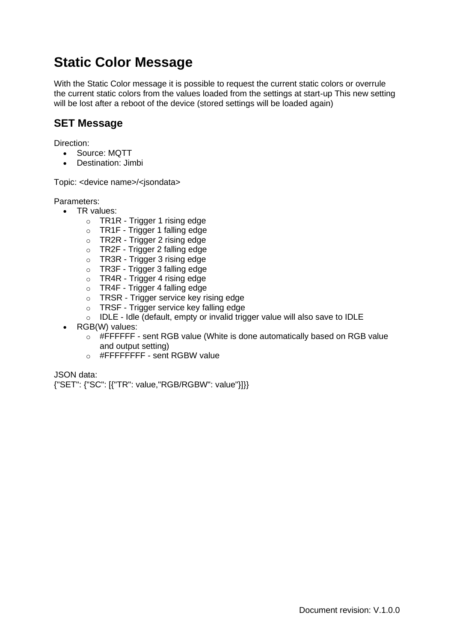# **Static Color Message**

With the Static Color message it is possible to request the current static colors or overrule the current static colors from the values loaded from the settings at start-up This new setting will be lost after a reboot of the device (stored settings will be loaded again)

## <span id="page-11-0"></span>**SET Message**

Direction:

- Source: MQTT
- Destination: Jimbi

Topic: <device name>/<jsondata>

Parameters:

- TR values:
	- o TR1R Trigger 1 rising edge
	- o TR1F Trigger 1 falling edge
	- o TR2R Trigger 2 rising edge
	- o TR2F Trigger 2 falling edge
	- o TR3R Trigger 3 rising edge
	- o TR3F Trigger 3 falling edge
	- o TR4R Trigger 4 rising edge
	- o TR4F Trigger 4 falling edge
	- o TRSR Trigger service key rising edge
	- o TRSF Trigger service key falling edge
	- o IDLE Idle (default, empty or invalid trigger value will also save to IDLE
- RGB(W) values:
	- o #FFFFFF sent RGB value (White is done automatically based on RGB value and output setting)
	- $\circ$  #FFFFFFFFF sent RGBW value

JSON data:

{"SET": {"SC": [{"TR": value,"RGB/RGBW": value"}]}}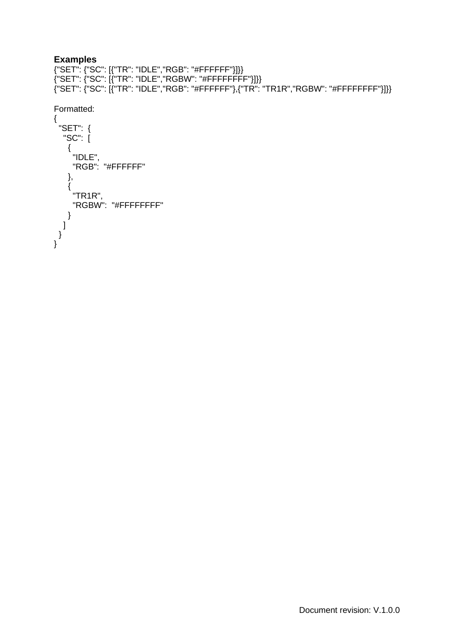### **Examples**

{"SET": {"SC": [{"TR": "IDLE","RGB": "#FFFFFF"}]}} {"SET": {"SC": [{"TR": "IDLE","RGBW": "#FFFFFFFF"}]}} {"SET": {"SC": [{"TR": "IDLE","RGB": "#FFFFFF"},{"TR": "TR1R","RGBW": "#FFFFFFFF"}]}}

```
{
 "SET": {
  "SC": [
   {
     "IDLE",
     "RGB": "#FFFFFF"
   },
   {
    "TR1R",
    "RGBW": "#FFFFFFFF"
  }
 ]
 }
}
```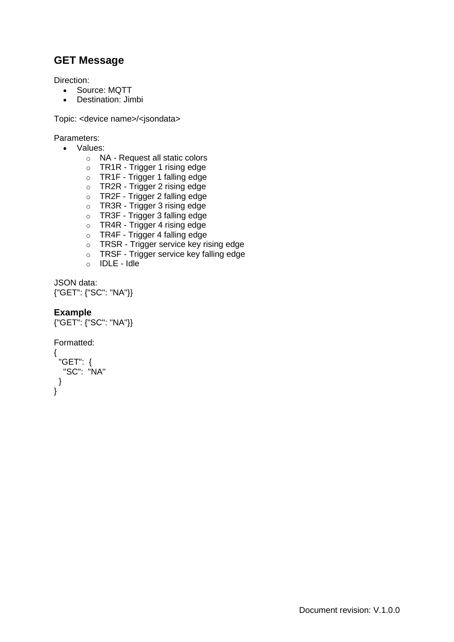<span id="page-13-0"></span>Direction:

- Source: MQTT
- Destination: Jimbi

Topic: <device name>/<jsondata>

Parameters:

- Values:
	- o NA Request all static colors
	- o TR1R Trigger 1 rising edge
	- o TR1F Trigger 1 falling edge
	- o TR2R Trigger 2 rising edge
	- o TR2F Trigger 2 falling edge
	- o TR3R Trigger 3 rising edge
	- o TR3F Trigger 3 falling edge
	- o TR4R Trigger 4 rising edge
	- o TR4F Trigger 4 falling edge
	- o TRSR Trigger service key rising edge
	- o TRSF Trigger service key falling edge
	- o IDLE Idle

JSON data: {"GET": {"SC": "NA"}}

### **Example**

```
{"GET": {"SC": "NA"}}
```

```
Formatted:
{
 "GET": {
  "SC": "NA"
 }
}
```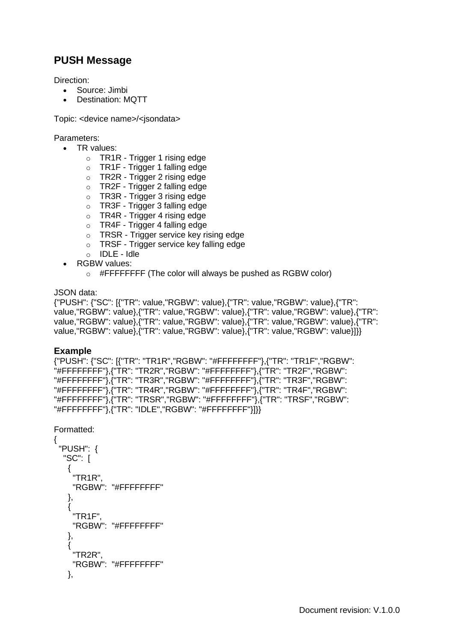<span id="page-14-0"></span>Direction:

- Source: Jimbi
- Destination: MQTT

Topic: <device name>/<jsondata>

Parameters:

- TR values:
	- o TR1R Trigger 1 rising edge
	- o TR1F Trigger 1 falling edge
	- o TR2R Trigger 2 rising edge
	- o TR2F Trigger 2 falling edge
	- o TR3R Trigger 3 rising edge
	- o TR3F Trigger 3 falling edge
	- o TR4R Trigger 4 rising edge
	- o TR4F Trigger 4 falling edge
	- o TRSR Trigger service key rising edge
	- o TRSF Trigger service key falling edge
	- o IDLE Idle
	- RGBW values:
		- o #FFFFFFFF (The color will always be pushed as RGBW color)

### JSON data:

{"PUSH": {"SC": [{"TR": value,"RGBW": value},{"TR": value,"RGBW": value},{"TR": value,"RGBW": value},{"TR": value,"RGBW": value},{"TR": value,"RGBW": value},{"TR": value,"RGBW": value},{"TR": value,"RGBW": value},{"TR": value,"RGBW": value},{"TR": value,"RGBW": value},{"TR": value,"RGBW": value},{"TR": value,"RGBW": value}]}}

### **Example**

```
{"PUSH": {"SC": [{"TR": "TR1R","RGBW": "#FFFFFFFF"},{"TR": "TR1F","RGBW": 
"#FFFFFFFF"},{"TR": "TR2R","RGBW": "#FFFFFFFF"},{"TR": "TR2F","RGBW": 
"#FFFFFFFF"},{"TR": "TR3R","RGBW": "#FFFFFFFF"},{"TR": "TR3F","RGBW":
"#FFFFFFFF"},{"TR": "TR4R","RGBW": "#FFFFFFFF"},{"TR": "TR4F","RGBW": 
"#FFFFFFFF"},{"TR": "TRSR","RGBW": "#FFFFFFFF"},{"TR": "TRSF","RGBW": 
"#FFFFFFFF"},{"TR": "IDLE","RGBW": "#FFFFFFFF"}]}}
```
Formatted:

{

```
"PUSH": {
 "SC": [
  {
   "TR1R",
   "RGBW": "#FFFFFFFF"
  },
  {
   "TR1F",
   "RGBW": "#FFFFFFFF"
  },
  {
   "TR2R",
   "RGBW": "#FFFFFFFF"
  },
```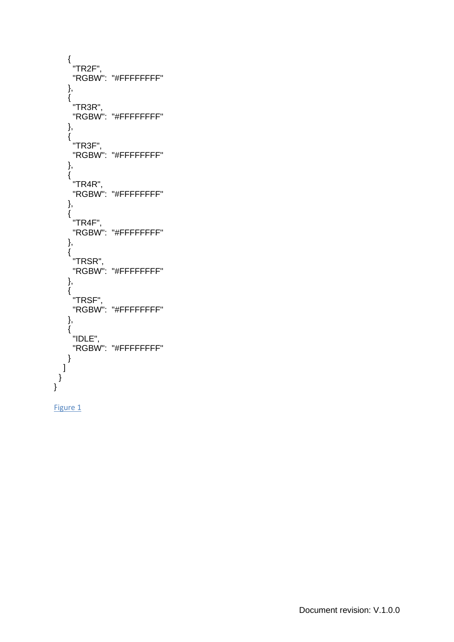```
{
    "TR2F",
    "RGBW": "#FFFFFFFF"
  },
  {
   "TR3R",
    "RGBW": "#FFFFFFFF"
  },
  {
   "TR3F",
    "RGBW": "#FFFFFFFF"
  },
  {
   \overline{\phantom{a}} "TR4R",
   "RGBW": "#FFFFFFFF"
  },
  {
   "TR4F",
    "RGBW": "#FFFFFFFF"
  },
  {
    "TRSR",
    "RGBW": "#FFFFFFFF"
  },
  {
   "TRSF",
   "RGBW": "#FFFFFFFF"
  },
  {
   "IDLE",
   "RGBW": "#FFFFFFFF"
  }
 ]
}
```

```
Figure 1
```
}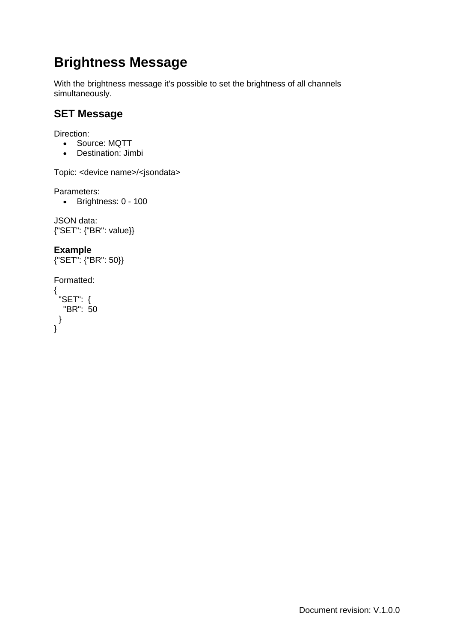# **Brightness Message**

With the brightness message it's possible to set the brightness of all channels simultaneously.

## <span id="page-16-0"></span>**SET Message**

Direction:

- Source: MQTT
- Destination: Jimbi

Topic: <device name>/<jsondata>

Parameters:

• Brightness: 0 - 100

JSON data: {"SET": {"BR": value}}

**Example** {"SET": {"BR": 50}}

```
Formatted:
{
 "SET": {
  "BR": 50
}
}
```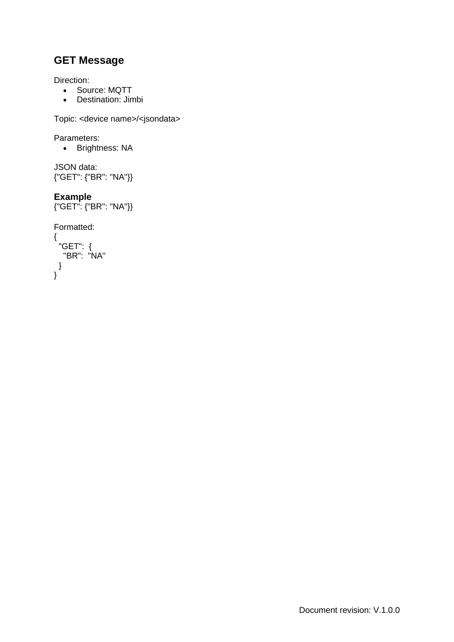<span id="page-17-0"></span>Direction:

- Source: MQTT
- Destination: Jimbi

Topic: <device name>/<jsondata>

Parameters:

• Brightness: NA

```
JSON data:
{"GET": {"BR": "NA"}}
```
### **Example**

{"GET": {"BR": "NA"}}

{ "GET": { "BR": "NA" } }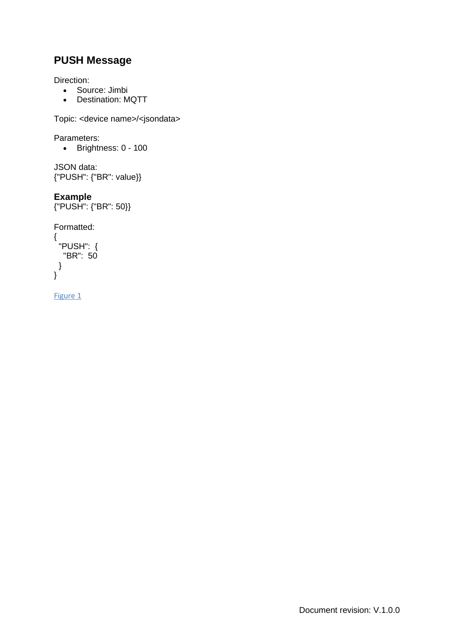<span id="page-18-0"></span>Direction:

- Source: Jimbi
- Destination: MQTT

Topic: <device name>/<jsondata>

Parameters:

• Brightness: 0 - 100

```
JSON data:
{"PUSH": {"BR": value}}
```
### **Example**

{"PUSH": {"BR": 50}}

Formatted:

```
{
 "PUSH": {
 "BR": 50
 }
}
```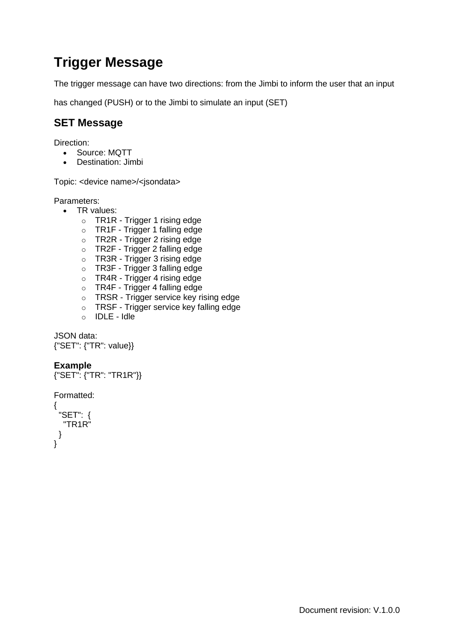# **Trigger Message**

The trigger message can have two directions: from the Jimbi to inform the user that an input

<span id="page-19-0"></span>has changed (PUSH) or to the Jimbi to simulate an input (SET)

## **SET Message**

Direction:

- Source: MQTT
- Destination: Jimbi

Topic: <device name>/<jsondata>

Parameters:

- TR values:
	- o TR1R Trigger 1 rising edge
	- o TR1F Trigger 1 falling edge
	- o TR2R Trigger 2 rising edge
	- o TR2F Trigger 2 falling edge
	- o TR3R Trigger 3 rising edge
	- o TR3F Trigger 3 falling edge
	- o TR4R Trigger 4 rising edge
	- o TR4F Trigger 4 falling edge
	- o TRSR Trigger service key rising edge
	- o TRSF Trigger service key falling edge
	- o IDLE Idle

JSON data: {"SET": {"TR": value}}

### **Example**

```
{"SET": {"TR": "TR1R"}}
```

```
Formatted:
```

```
{
 "SET": {
  "TR1R"
 }
}
```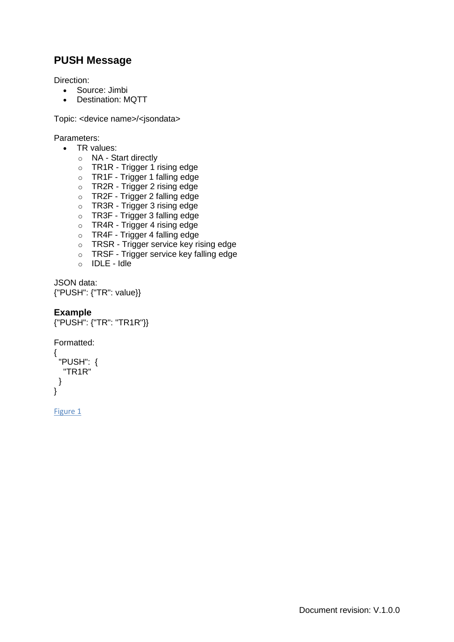<span id="page-20-0"></span>Direction:

- Source: Jimbi
- Destination: MQTT

Topic: <device name>/<jsondata>

Parameters:

- TR values:
	- o NA Start directly
	- o TR1R Trigger 1 rising edge
	- o TR1F Trigger 1 falling edge
	- o TR2R Trigger 2 rising edge
	- o TR2F Trigger 2 falling edge
	- o TR3R Trigger 3 rising edge
	- o TR3F Trigger 3 falling edge
	- o TR4R Trigger 4 rising edge
	- o TR4F Trigger 4 falling edge
	- o TRSR Trigger service key rising edge
	- o TRSF Trigger service key falling edge
	- o IDLE Idle

```
JSON data:
{"PUSH": {"TR": value}}
```

```
Example
```

```
{"PUSH": {"TR": "TR1R"}}
```

```
Formatted:
{
 "PUSH": {
  "TR1R"
 }
}
```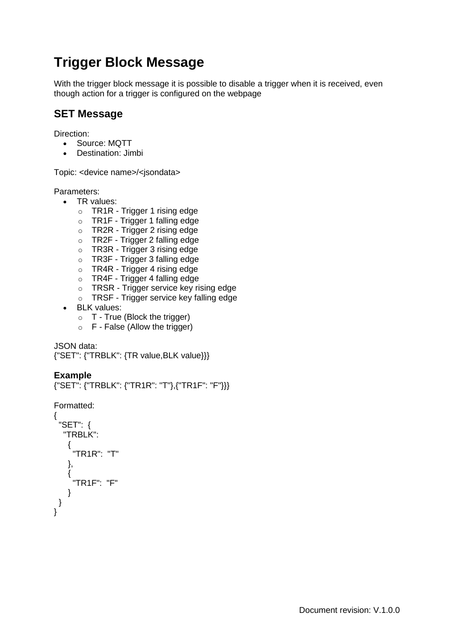# **Trigger Block Message**

With the trigger block message it is possible to disable a trigger when it is received, even though action for a trigger is configured on the webpage

### <span id="page-21-0"></span>**SET Message**

Direction:

- Source: MQTT
- Destination: Jimbi

Topic: <device name>/<jsondata>

Parameters:

- TR values:
	- o TR1R Trigger 1 rising edge
	- o TR1F Trigger 1 falling edge
	- o TR2R Trigger 2 rising edge
	- o TR2F Trigger 2 falling edge
	- o TR3R Trigger 3 rising edge
	- o TR3F Trigger 3 falling edge
	- o TR4R Trigger 4 rising edge
	- o TR4F Trigger 4 falling edge
	- o TRSR Trigger service key rising edge
	- o TRSF Trigger service key falling edge
- BLK values:
	- $\circ$  T True (Block the trigger)
	- $\circ$  F False (Allow the trigger)

JSON data:

{"SET": {"TRBLK": {TR value,BLK value}}}

### **Example**

{"SET": {"TRBLK": {"TR1R": "T"},{"TR1F": "F"}}}

```
{
 "SET": {
  "TRBLK":
   {
     "TR1R": "T"
   },
   {
     "TR1F": "F"
   }
}
}
```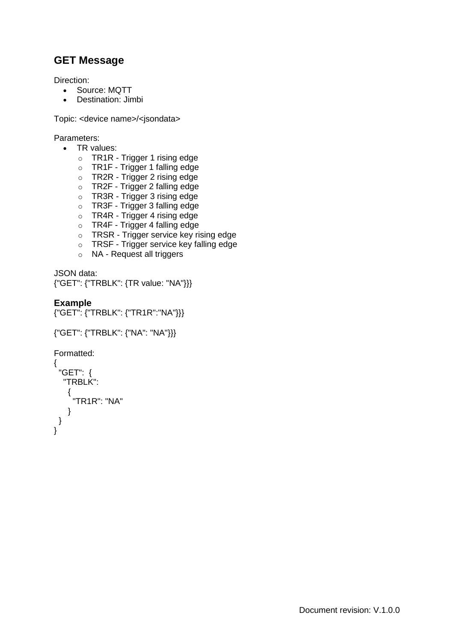<span id="page-22-0"></span>Direction:

- Source: MQTT
- Destination: Jimbi

Topic: <device name>/<jsondata>

Parameters:

- TR values:
	- o TR1R Trigger 1 rising edge
	- o TR1F Trigger 1 falling edge
	- o TR2R Trigger 2 rising edge
	- o TR2F Trigger 2 falling edge
	- o TR3R Trigger 3 rising edge
	- o TR3F Trigger 3 falling edge
	- o TR4R Trigger 4 rising edge
	- o TR4F Trigger 4 falling edge
	- o TRSR Trigger service key rising edge
	- o TRSF Trigger service key falling edge
	- o NA Request all triggers

```
JSON data:
{"GET": {"TRBLK": {TR value: "NA"}}}
```
### **Example**

{"GET": {"TRBLK": {"TR1R":"NA"}}}

```
{"GET": {"TRBLK": {"NA": "NA"}}}
```

```
{
 "GET": {
  "TRBLK":
   {
     "TR1R": "NA"
   }
 }
}
```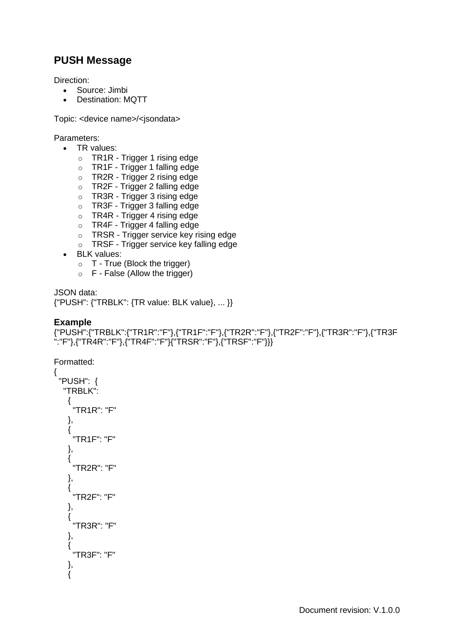<span id="page-23-0"></span>Direction:

- Source: Jimbi
- Destination: MQTT

Topic: <device name>/<jsondata>

Parameters:

- TR values:
	- o TR1R Trigger 1 rising edge
	- o TR1F Trigger 1 falling edge
	- o TR2R Trigger 2 rising edge
	- o TR2F Trigger 2 falling edge
	- o TR3R Trigger 3 rising edge
	- o TR3F Trigger 3 falling edge
	- o TR4R Trigger 4 rising edge
	- o TR4F Trigger 4 falling edge
	- o TRSR Trigger service key rising edge
	- o TRSF Trigger service key falling edge
- BLK values:
	- o T True (Block the trigger)
	- o F False (Allow the trigger)

JSON data:

{"PUSH": {"TRBLK": {TR value: BLK value}, ... }}

### **Example**

```
{"PUSH":{"TRBLK":{"TR1R":"F"},{"TR1F":"F"},{"TR2R":"F"},{"TR2F":"F"},{"TR3R":"F"},{"TR3F
":"F"},{"TR4R":"F"},{"TR4F":"F"}{"TRSR":"F"},{"TRSF":"F"}}}
```
Formatted:

{

```
"PUSH": {
 "TRBLK":
  {
   "TR1R": "F"
  },
  {
   "TR1F": "F"
  },
  {
   "TR2R": "F"
  },
  {
   "TR2F": "F"
  },
  {
   "TR3R": "F"
  },
  {
   "TR3F": "F"
  },
  {
```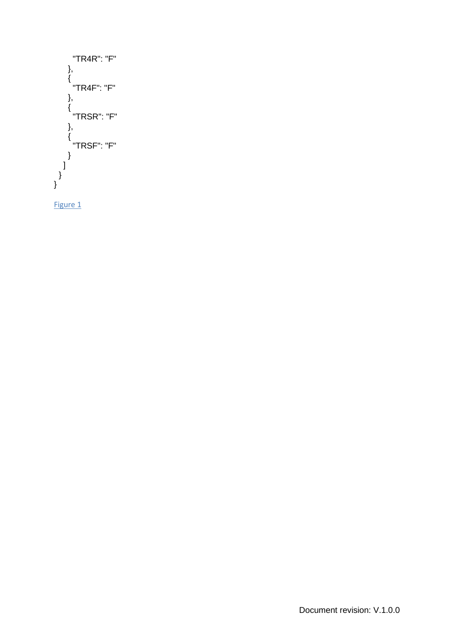```
"TR4R": "F"
   },
    {
      "TR4F": "F"
   },
    {
      "TRSR": "F"
   },
    {
      "TRSF": "F"
    }
 \overline{1}}
}
```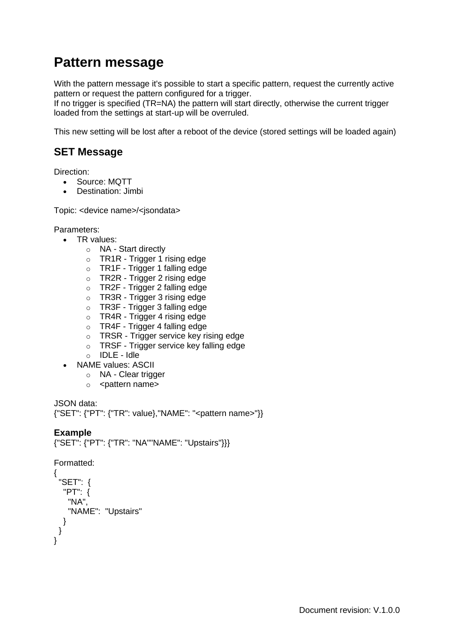## **Pattern message**

With the pattern message it's possible to start a specific pattern, request the currently active pattern or request the pattern configured for a trigger.

If no trigger is specified (TR=NA) the pattern will start directly, otherwise the current trigger loaded from the settings at start-up will be overruled.

<span id="page-25-0"></span>This new setting will be lost after a reboot of the device (stored settings will be loaded again)

## **SET Message**

Direction:

- Source: MQTT
- Destination: Jimbi

Topic: <device name>/<isondata>

Parameters:

- TR values:
	- o NA Start directly
	- $\circ$  TR1R Trigger 1 rising edge
	- o TR1F Trigger 1 falling edge
	- o TR2R Trigger 2 rising edge
	- o TR2F Trigger 2 falling edge
	- o TR3R Trigger 3 rising edge
	- o TR3F Trigger 3 falling edge
	- o TR4R Trigger 4 rising edge
	- o TR4F Trigger 4 falling edge
	- o TRSR Trigger service key rising edge
	- o TRSF Trigger service key falling edge
	- o IDLE Idle
- NAME values: ASCII
	- o NA Clear trigger
	- o <pattern name>

JSON data: {"SET": {"PT": {"TR": value},"NAME": "<pattern name>"}}

### **Example**

{"SET": {"PT": {"TR": "NA""NAME": "Upstairs"}}}

```
{
 "SET": {
  "PT": {
   "NA"
   "NAME": "Upstairs"
  }
 }
}
```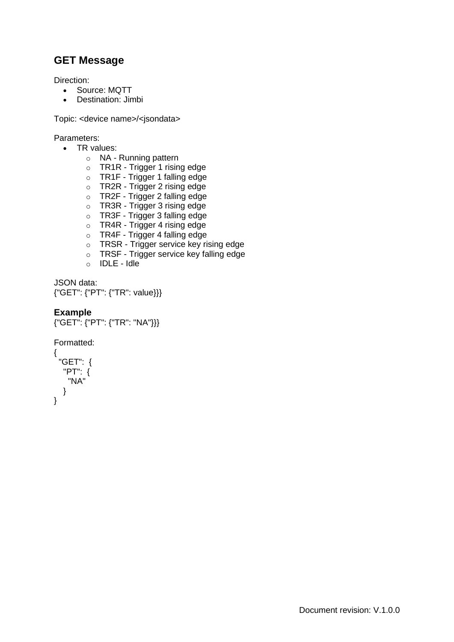<span id="page-26-0"></span>Direction:

- Source: MQTT
- Destination: Jimbi

Topic: <device name>/<jsondata>

Parameters:

- TR values:
	- o NA Running pattern
	- o TR1R Trigger 1 rising edge
	- o TR1F Trigger 1 falling edge
	- o TR2R Trigger 2 rising edge
	- o TR2F Trigger 2 falling edge
	- o TR3R Trigger 3 rising edge
	- o TR3F Trigger 3 falling edge
	- o TR4R Trigger 4 rising edge
	- o TR4F Trigger 4 falling edge
	- o TRSR Trigger service key rising edge
	- o TRSF Trigger service key falling edge
	- o IDLE Idle

```
JSON data:
{"GET": {"PT": {"TR": value}}}
```
### **Example**

```
{"GET": {"PT": {"TR": "NA"}}}
```

```
{
 "GET": {
  "PT": {
   "NA"
  }
}
```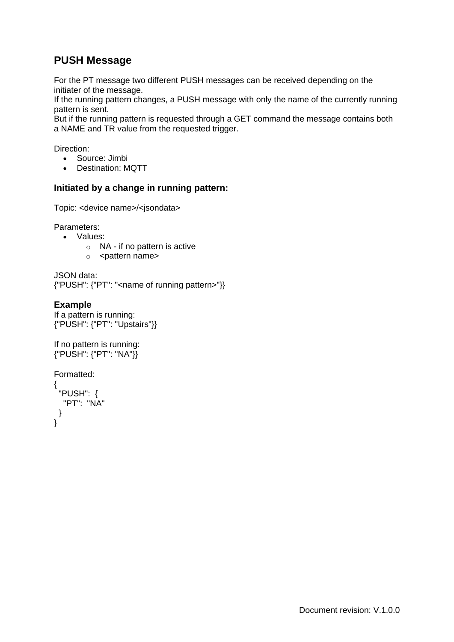<span id="page-27-0"></span>For the PT message two different PUSH messages can be received depending on the initiater of the message.

If the running pattern changes, a PUSH message with only the name of the currently running pattern is sent.

But if the running pattern is requested through a GET command the message contains both a NAME and TR value from the requested trigger.

Direction:

- Source: Jimbi
- Destination: MQTT

#### **Initiated by a change in running pattern:**

Topic: <device name>/<jsondata>

Parameters:

- Values:
	- o NA if no pattern is active
	- o <pattern name>

```
JSON data:
{"PUSH": {"PT": "<name of running pattern>"}}
```
### **Example**

```
If a pattern is running:
{"PUSH": {"PT": "Upstairs"}}
```

```
If no pattern is running:
{"PUSH": {"PT": "NA"}}
```

```
{
 "PUSH": {
  "PT": "NA"
 }
}
```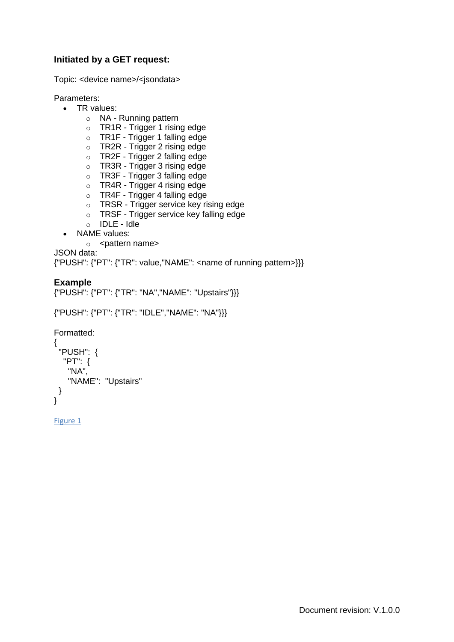### **Initiated by a GET request:**

Topic: <device name>/<jsondata>

Parameters:

- TR values:
	- o NA Running pattern
	- o TR1R Trigger 1 rising edge
	- o TR1F Trigger 1 falling edge
	- o TR2R Trigger 2 rising edge
	- o TR2F Trigger 2 falling edge
	- o TR3R Trigger 3 rising edge
	- o TR3F Trigger 3 falling edge
	- o TR4R Trigger 4 rising edge
	- o TR4F Trigger 4 falling edge
	- o TRSR Trigger service key rising edge
	- o TRSF Trigger service key falling edge
	- o IDLE Idle
- NAME values:
	- o <pattern name>

JSON data:

{"PUSH": {"PT": {"TR": value,"NAME": <name of running pattern>}}}

### **Example**

```
{"PUSH": {"PT": {"TR": "NA","NAME": "Upstairs"}}}
```

```
{"PUSH": {"PT": {"TR": "IDLE","NAME": "NA"}}}
```

```
Formatted:
{
 "PUSH": {
  "PT": {
   "NA",
   "NAME": "Upstairs"
 }
}
```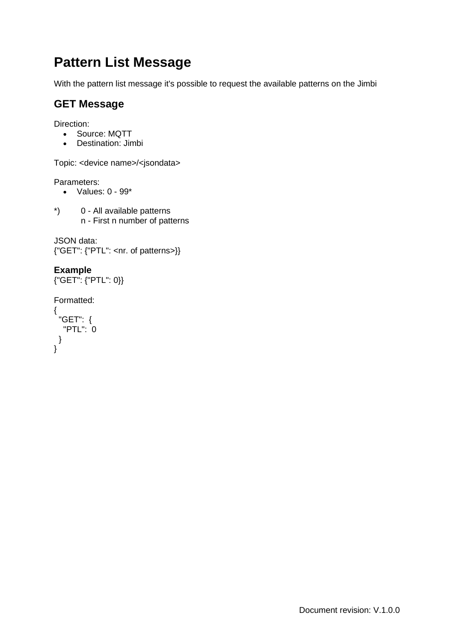# **Pattern List Message**

With the pattern list message it's possible to request the available patterns on the Jimbi

## <span id="page-29-0"></span>**GET Message**

Direction:

- Source: MQTT
- Destination: Jimbi

Topic: <device name>/<jsondata>

Parameters:

- Values: 0 99\*
- \*) 0 All available patterns n - First n number of patterns

```
JSON data:
{"GET": {"PTL": <nr. of patterns>}}
```
### **Example**

{"GET": {"PTL": 0}}

```
Formatted:
```

```
{
 "GET": {
  "PTL": 0
}
}
```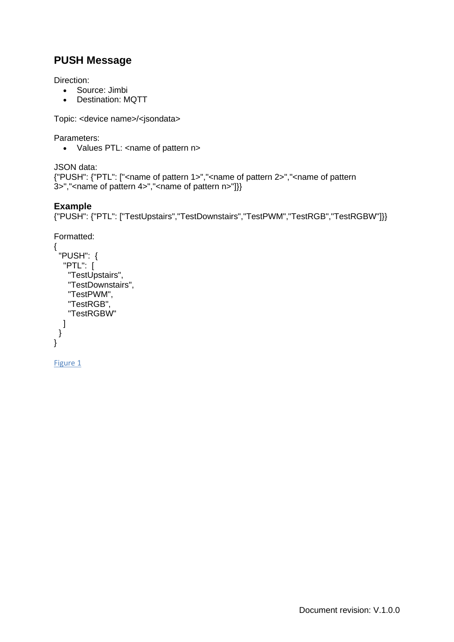<span id="page-30-0"></span>Direction:

- Source: Jimbi
- Destination: MQTT

Topic: <device name>/<jsondata>

Parameters:

• Values PTL: <name of pattern n>

```
JSON data:
{"PUSH": {"PTL": ["<name of pattern 1>","<name of pattern 2>","<name of pattern 
3>","<name of pattern 4>","<name of pattern n>"]}}
```
### **Example**

{"PUSH": {"PTL": ["TestUpstairs","TestDownstairs","TestPWM","TestRGB","TestRGBW"]}}

```
Formatted:
{
 "PUSH": {
  "PTL": [
   "TestUpstairs",
   "TestDownstairs",
   "TestPWM",
   "TestRGB",
   "TestRGBW"
  ]
}
}
```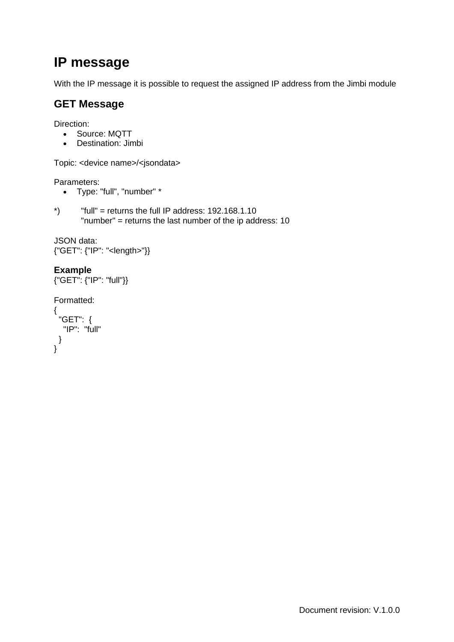# **IP message**

With the IP message it is possible to request the assigned IP address from the Jimbi module

## <span id="page-31-0"></span>**GET Message**

Direction:

- Source: MQTT
- Destination: Jimbi

Topic: <device name>/<jsondata>

Parameters:

- Type: "full", "number" \*
- $*$ ) "full" = returns the full IP address: 192.168.1.10 "number" = returns the last number of the ip address: 10

```
JSON data:
{"GET": {"IP": "<length>"}}
```
### **Example**

```
{"GET": {"IP": "full"}}
```

```
Formatted:
```

```
{
 "GET": {
  "IP": "full"
 }
}
```